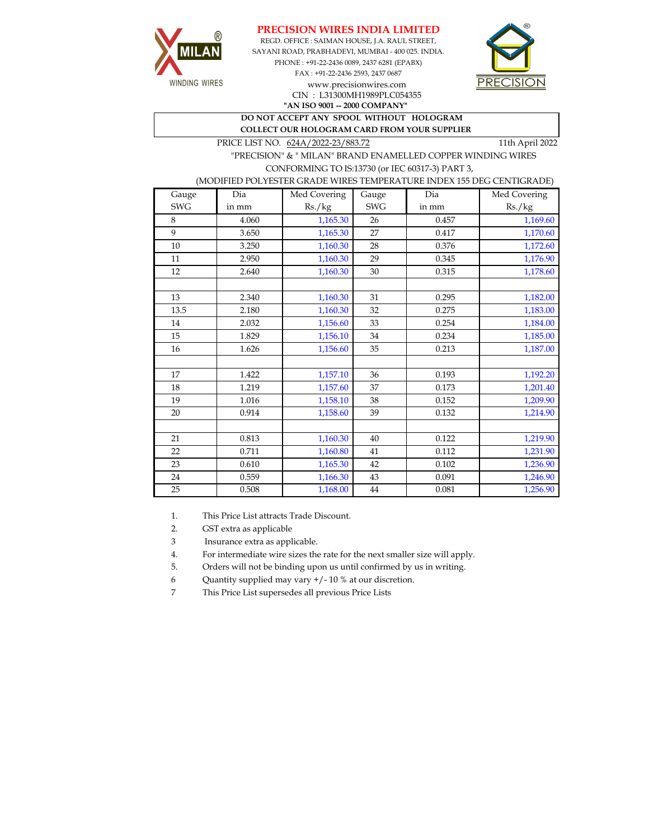



REGD. OFFICE : SAIMAN HOUSE, J.A. RAUL STREET, SAYANI ROAD, PRABHADEVI, MUMBAI - 400 025. INDIA. PHONE : +91-22-2436 0089, 2437 6281 (EPABX) FAX : +91-22-2436 2593, 2437 0687 www.precisionwires.com CIN : L31300MH1989PLC054355



**"AN ISO 9001 -- 2000 COMPANY" DO NOT ACCEPT ANY SPOOL WITHOUT HOLOGRAM COLLECT OUR HOLOGRAM CARD FROM YOUR SUPPLIER** 

PRICE LIST NO.  $624A/2022-23/883.72$  11th April 2022

 "PRECISION" & " MILAN" BRAND ENAMELLED COPPER WINDING WIRES CONFORMING TO IS:13730 (or IEC 60317-3) PART 3,

## (MODIFIED POLYESTER GRADE WIRES TEMPERATURE INDEX 155 DEG CENTIGRADE)

| Gauge      | Dia   | Med Covering | Gauge      | Dia   | Med Covering |
|------------|-------|--------------|------------|-------|--------------|
| <b>SWG</b> | in mm | Rs./kg       | <b>SWG</b> | in mm | Rs./kg       |
| 8          | 4.060 | 1,165.30     | 26         | 0.457 | 1,169.60     |
| 9          | 3.650 | 1,165.30     | 27         | 0.417 | 1,170.60     |
| 10         | 3.250 | 1,160.30     | 28         | 0.376 | 1,172.60     |
| 11         | 2.950 | 1,160.30     | 29         | 0.345 | 1,176.90     |
| 12         | 2.640 | 1,160.30     | 30         | 0.315 | 1,178.60     |
|            |       |              |            |       |              |
| 13         | 2.340 | 1,160.30     | 31         | 0.295 | 1,182.00     |
| 13.5       | 2.180 | 1,160.30     | 32         | 0.275 | 1,183.00     |
| 14         | 2.032 | 1,156.60     | 33         | 0.254 | 1,184.00     |
| 15         | 1.829 | 1,156.10     | 34         | 0.234 | 1,185.00     |
| 16         | 1.626 | 1,156.60     | 35         | 0.213 | 1,187.00     |
|            |       |              |            |       |              |
| 17         | 1.422 | 1,157.10     | 36         | 0.193 | 1,192.20     |
| 18         | 1.219 | 1,157.60     | 37         | 0.173 | 1,201.40     |
| 19         | 1.016 | 1,158.10     | 38         | 0.152 | 1,209.90     |
| 20         | 0.914 | 1,158.60     | 39         | 0.132 | 1,214.90     |
|            |       |              |            |       |              |
| 21         | 0.813 | 1,160.30     | 40         | 0.122 | 1,219.90     |
| 22         | 0.711 | 1,160.80     | 41         | 0.112 | 1,231.90     |
| 23         | 0.610 | 1,165.30     | 42         | 0.102 | 1,236.90     |
| 24         | 0.559 | 1,166.30     | 43         | 0.091 | 1,246.90     |
| 25         | 0.508 | 1,168.00     | 44         | 0.081 | 1,256.90     |

1. This Price List attracts Trade Discount.

2. GST extra as applicable

3 Insurance extra as applicable.

4. For intermediate wire sizes the rate for the next smaller size will apply.

5. Orders will not be binding upon us until confirmed by us in writing.

6 Quantity supplied may vary +/- 10 % at our discretion.

7 This Price List supersedes all previous Price Lists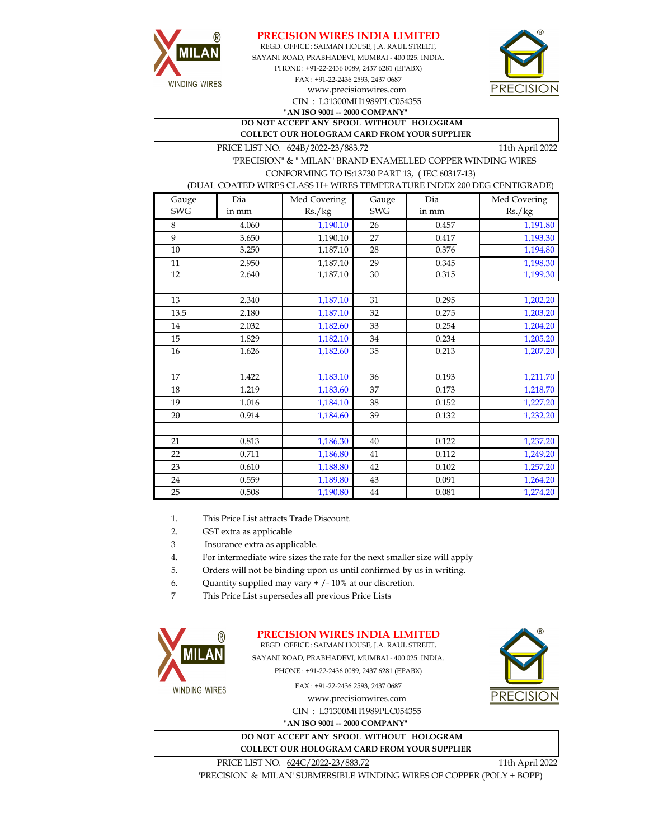



REGD. OFFICE : SAIMAN HOUSE, J.A. RAUL STREET, CIN : L31300MH1989PLC054355 SAYANI ROAD, PRABHADEVI, MUMBAI - 400 025. INDIA. PHONE : +91-22-2436 0089, 2437 6281 (EPABX) FAX : +91-22-2436 2593, 2437 0687 **"AN ISO 9001 -- 2000 COMPANY"** www.precisionwires.com



**DO NOT ACCEPT ANY SPOOL WITHOUT HOLOGRAM COLLECT OUR HOLOGRAM CARD FROM YOUR SUPPLIER** 

PRICE LIST NO. 624B/2022-23/883.72 11th April 2022

 "PRECISION" & " MILAN" BRAND ENAMELLED COPPER WINDING WIRES CONFORMING TO IS:13730 PART 13, ( IEC 60317-13)

(DUAL COATED WIRES CLASS H+ WIRES TEMPERATURE INDEX 200 DEG CENTIGRADE)

| Gauge      | Dia   | Med Covering | Gauge      | Dia   | Med Covering |
|------------|-------|--------------|------------|-------|--------------|
| <b>SWG</b> | in mm | Rs./kg       | <b>SWG</b> | in mm | Rs./kg       |
| 8          | 4.060 | 1,190.10     | 26         | 0.457 | 1,191.80     |
| 9          | 3.650 | 1,190.10     | 27         | 0.417 | 1,193.30     |
| 10         | 3.250 | 1,187.10     | 28         | 0.376 | 1,194.80     |
| $11\,$     | 2.950 | 1,187.10     | 29         | 0.345 | 1,198.30     |
| 12         | 2.640 | 1,187.10     | 30         | 0.315 | 1,199.30     |
|            |       |              |            |       |              |
| 13         | 2.340 | 1,187.10     | 31         | 0.295 | 1,202.20     |
| 13.5       | 2.180 | 1,187.10     | 32         | 0.275 | 1,203.20     |
| 14         | 2.032 | 1,182.60     | 33         | 0.254 | 1,204.20     |
| 15         | 1.829 | 1,182.10     | 34         | 0.234 | 1,205.20     |
| 16         | 1.626 | 1,182.60     | 35         | 0.213 | 1,207.20     |
|            |       |              |            |       |              |
| 17         | 1.422 | 1,183.10     | 36         | 0.193 | 1,211.70     |
| 18         | 1.219 | 1,183.60     | 37         | 0.173 | 1,218.70     |
| 19         | 1.016 | 1,184.10     | 38         | 0.152 | 1,227.20     |
| 20         | 0.914 | 1,184.60     | 39         | 0.132 | 1,232.20     |
|            |       |              |            |       |              |
| 21         | 0.813 | 1,186.30     | 40         | 0.122 | 1,237.20     |
| 22         | 0.711 | 1,186.80     | 41         | 0.112 | 1,249.20     |
| 23         | 0.610 | 1,188.80     | 42         | 0.102 | 1,257.20     |
| 24         | 0.559 | 1,189.80     | 43         | 0.091 | 1,264.20     |
| 25         | 0.508 | 1,190.80     | 44         | 0.081 | 1,274.20     |

1. This Price List attracts Trade Discount.

2. GST extra as applicable

3 Insurance extra as applicable.

4. For intermediate wire sizes the rate for the next smaller size will apply

5. Orders will not be binding upon us until confirmed by us in writing.

6. Quantity supplied may vary + /- 10% at our discretion.

7 This Price List supersedes all previous Price Lists



**PRECISION WIRES INDIA LIMITED**

REGD. OFFICE : SAIMAN HOUSE, J.A. RAUL STREET, SAYANI ROAD, PRABHADEVI, MUMBAI - 400 025. INDIA. PHONE : +91-22-2436 0089, 2437 6281 (EPABX)

FAX : +91-22-2436 2593, 2437 0687

www.precisionwires.com CIN : L31300MH1989PLC054355 **"AN ISO 9001 -- 2000 COMPANY"**





PRICE LIST NO.  $624C/2022-23/883.72$  11th April 2022

'PRECISION' & 'MILAN' SUBMERSIBLE WINDING WIRES OF COPPER (POLY + BOPP)